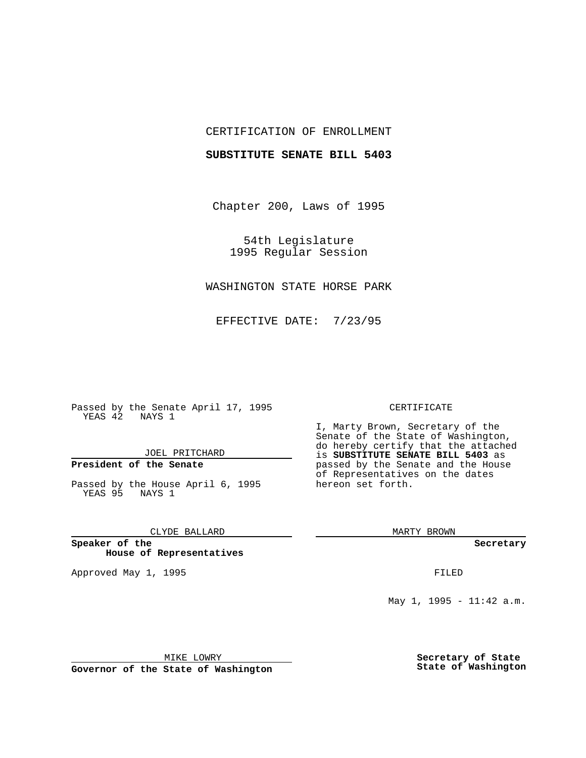## CERTIFICATION OF ENROLLMENT

### **SUBSTITUTE SENATE BILL 5403**

Chapter 200, Laws of 1995

54th Legislature 1995 Regular Session

## WASHINGTON STATE HORSE PARK

EFFECTIVE DATE: 7/23/95

Passed by the Senate April 17, 1995 YEAS 42 NAYS 1

JOEL PRITCHARD

# **President of the Senate**

Passed by the House April 6, 1995 YEAS 95 NAYS 1

CLYDE BALLARD

**Speaker of the House of Representatives**

Approved May 1, 1995 **FILED** 

#### CERTIFICATE

I, Marty Brown, Secretary of the Senate of the State of Washington, do hereby certify that the attached is **SUBSTITUTE SENATE BILL 5403** as passed by the Senate and the House of Representatives on the dates hereon set forth.

MARTY BROWN

**Secretary**

May 1, 1995 - 11:42 a.m.

MIKE LOWRY

**Governor of the State of Washington**

**Secretary of State State of Washington**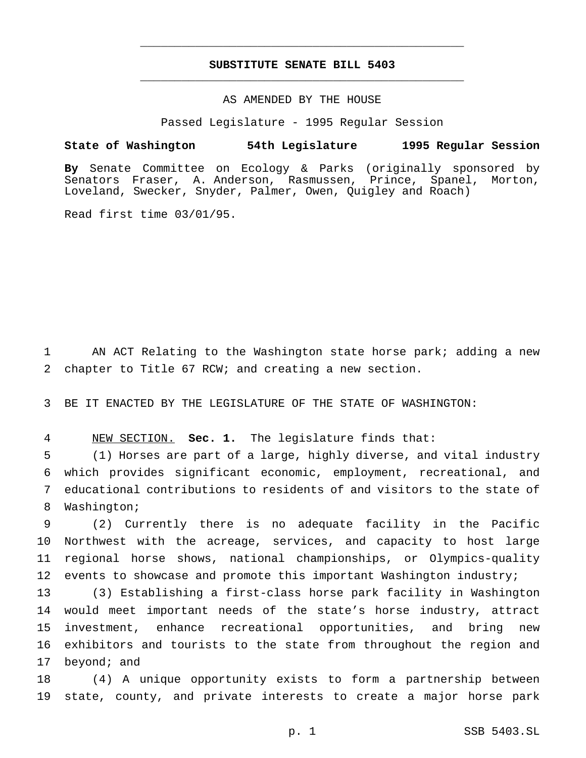## **SUBSTITUTE SENATE BILL 5403** \_\_\_\_\_\_\_\_\_\_\_\_\_\_\_\_\_\_\_\_\_\_\_\_\_\_\_\_\_\_\_\_\_\_\_\_\_\_\_\_\_\_\_\_\_\_\_

\_\_\_\_\_\_\_\_\_\_\_\_\_\_\_\_\_\_\_\_\_\_\_\_\_\_\_\_\_\_\_\_\_\_\_\_\_\_\_\_\_\_\_\_\_\_\_

### AS AMENDED BY THE HOUSE

Passed Legislature - 1995 Regular Session

#### **State of Washington 54th Legislature 1995 Regular Session**

**By** Senate Committee on Ecology & Parks (originally sponsored by Senators Fraser, A. Anderson, Rasmussen, Prince, Spanel, Morton, Loveland, Swecker, Snyder, Palmer, Owen, Quigley and Roach)

Read first time 03/01/95.

1 AN ACT Relating to the Washington state horse park; adding a new 2 chapter to Title 67 RCW; and creating a new section.

3 BE IT ENACTED BY THE LEGISLATURE OF THE STATE OF WASHINGTON:

4 NEW SECTION. **Sec. 1.** The legislature finds that:

 (1) Horses are part of a large, highly diverse, and vital industry which provides significant economic, employment, recreational, and educational contributions to residents of and visitors to the state of Washington;

 (2) Currently there is no adequate facility in the Pacific Northwest with the acreage, services, and capacity to host large regional horse shows, national championships, or Olympics-quality 12 events to showcase and promote this important Washington industry;

 (3) Establishing a first-class horse park facility in Washington would meet important needs of the state's horse industry, attract investment, enhance recreational opportunities, and bring new exhibitors and tourists to the state from throughout the region and 17 beyond; and

18 (4) A unique opportunity exists to form a partnership between 19 state, county, and private interests to create a major horse park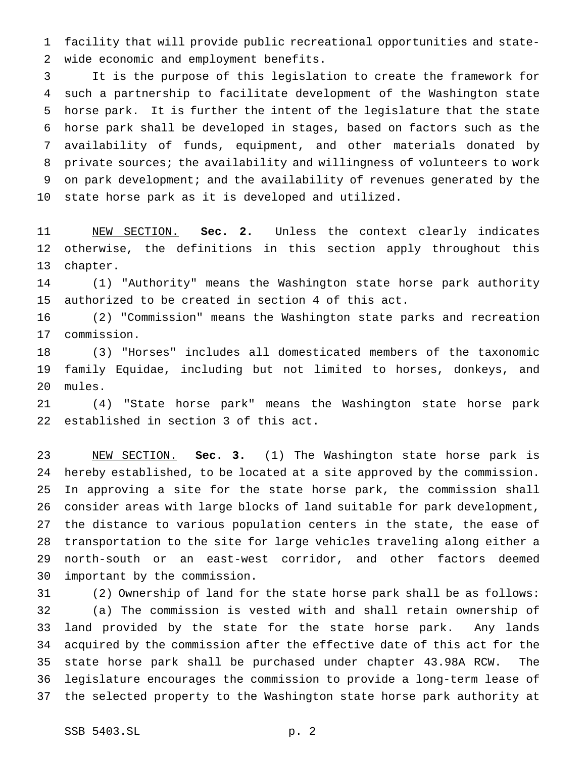facility that will provide public recreational opportunities and state-wide economic and employment benefits.

 It is the purpose of this legislation to create the framework for such a partnership to facilitate development of the Washington state horse park. It is further the intent of the legislature that the state horse park shall be developed in stages, based on factors such as the availability of funds, equipment, and other materials donated by private sources; the availability and willingness of volunteers to work on park development; and the availability of revenues generated by the state horse park as it is developed and utilized.

 NEW SECTION. **Sec. 2.** Unless the context clearly indicates otherwise, the definitions in this section apply throughout this chapter.

 (1) "Authority" means the Washington state horse park authority authorized to be created in section 4 of this act.

 (2) "Commission" means the Washington state parks and recreation commission.

 (3) "Horses" includes all domesticated members of the taxonomic family Equidae, including but not limited to horses, donkeys, and mules.

 (4) "State horse park" means the Washington state horse park established in section 3 of this act.

 NEW SECTION. **Sec. 3.** (1) The Washington state horse park is hereby established, to be located at a site approved by the commission. In approving a site for the state horse park, the commission shall consider areas with large blocks of land suitable for park development, the distance to various population centers in the state, the ease of transportation to the site for large vehicles traveling along either a north-south or an east-west corridor, and other factors deemed important by the commission.

 (2) Ownership of land for the state horse park shall be as follows: (a) The commission is vested with and shall retain ownership of land provided by the state for the state horse park. Any lands acquired by the commission after the effective date of this act for the state horse park shall be purchased under chapter 43.98A RCW. The legislature encourages the commission to provide a long-term lease of the selected property to the Washington state horse park authority at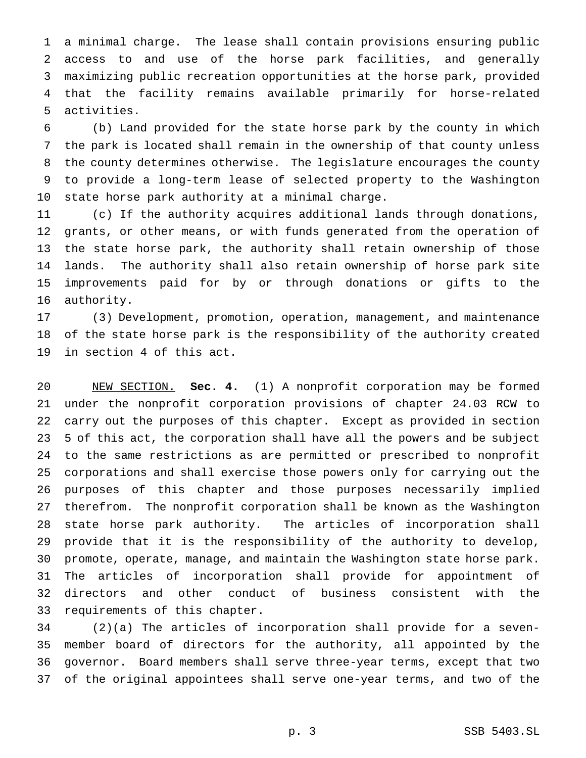a minimal charge. The lease shall contain provisions ensuring public access to and use of the horse park facilities, and generally maximizing public recreation opportunities at the horse park, provided that the facility remains available primarily for horse-related activities.

 (b) Land provided for the state horse park by the county in which the park is located shall remain in the ownership of that county unless the county determines otherwise. The legislature encourages the county to provide a long-term lease of selected property to the Washington state horse park authority at a minimal charge.

 (c) If the authority acquires additional lands through donations, grants, or other means, or with funds generated from the operation of the state horse park, the authority shall retain ownership of those lands. The authority shall also retain ownership of horse park site improvements paid for by or through donations or gifts to the authority.

 (3) Development, promotion, operation, management, and maintenance of the state horse park is the responsibility of the authority created in section 4 of this act.

 NEW SECTION. **Sec. 4.** (1) A nonprofit corporation may be formed under the nonprofit corporation provisions of chapter 24.03 RCW to carry out the purposes of this chapter. Except as provided in section 5 of this act, the corporation shall have all the powers and be subject to the same restrictions as are permitted or prescribed to nonprofit corporations and shall exercise those powers only for carrying out the purposes of this chapter and those purposes necessarily implied therefrom. The nonprofit corporation shall be known as the Washington state horse park authority. The articles of incorporation shall provide that it is the responsibility of the authority to develop, promote, operate, manage, and maintain the Washington state horse park. The articles of incorporation shall provide for appointment of directors and other conduct of business consistent with the requirements of this chapter.

 (2)(a) The articles of incorporation shall provide for a seven- member board of directors for the authority, all appointed by the governor. Board members shall serve three-year terms, except that two of the original appointees shall serve one-year terms, and two of the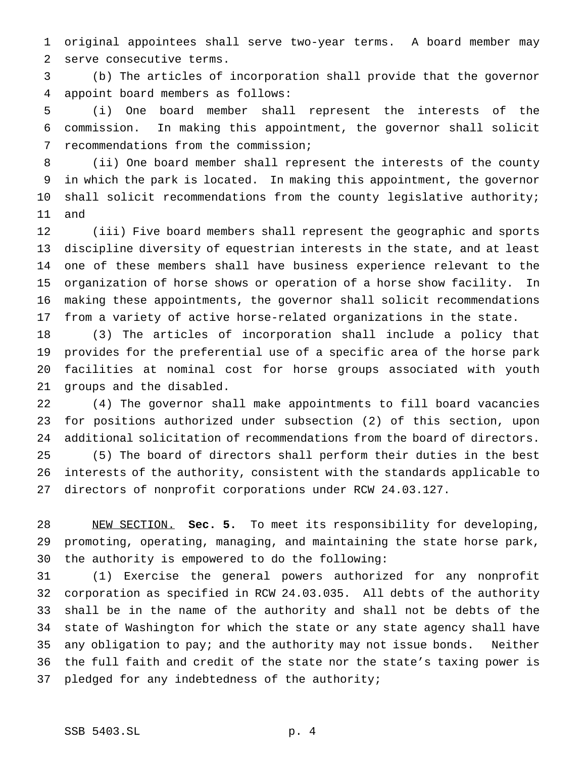original appointees shall serve two-year terms. A board member may serve consecutive terms.

 (b) The articles of incorporation shall provide that the governor appoint board members as follows:

 (i) One board member shall represent the interests of the commission. In making this appointment, the governor shall solicit recommendations from the commission;

 (ii) One board member shall represent the interests of the county in which the park is located. In making this appointment, the governor 10 shall solicit recommendations from the county legislative authority; and

 (iii) Five board members shall represent the geographic and sports discipline diversity of equestrian interests in the state, and at least one of these members shall have business experience relevant to the organization of horse shows or operation of a horse show facility. In making these appointments, the governor shall solicit recommendations from a variety of active horse-related organizations in the state.

 (3) The articles of incorporation shall include a policy that provides for the preferential use of a specific area of the horse park facilities at nominal cost for horse groups associated with youth groups and the disabled.

 (4) The governor shall make appointments to fill board vacancies for positions authorized under subsection (2) of this section, upon additional solicitation of recommendations from the board of directors. (5) The board of directors shall perform their duties in the best interests of the authority, consistent with the standards applicable to directors of nonprofit corporations under RCW 24.03.127.

 NEW SECTION. **Sec. 5.** To meet its responsibility for developing, promoting, operating, managing, and maintaining the state horse park, the authority is empowered to do the following:

 (1) Exercise the general powers authorized for any nonprofit corporation as specified in RCW 24.03.035. All debts of the authority shall be in the name of the authority and shall not be debts of the state of Washington for which the state or any state agency shall have any obligation to pay; and the authority may not issue bonds. Neither the full faith and credit of the state nor the state's taxing power is 37 pledged for any indebtedness of the authority;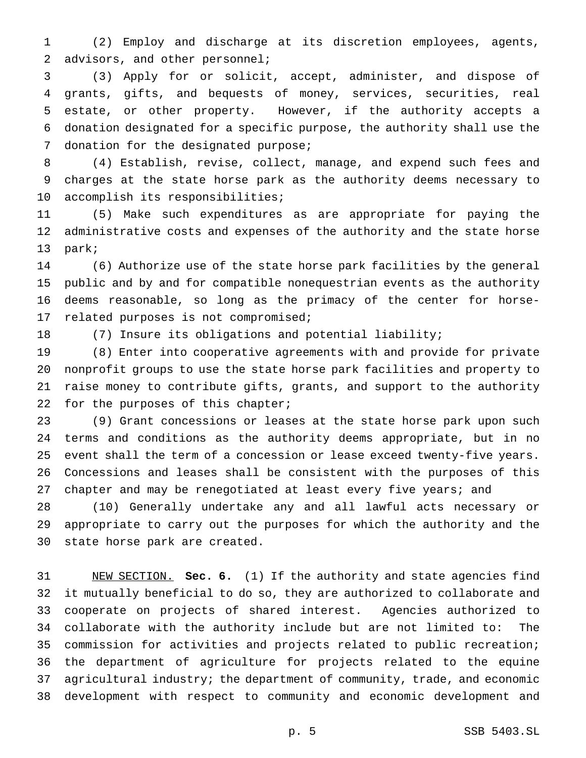(2) Employ and discharge at its discretion employees, agents, 2 advisors, and other personnel;

 (3) Apply for or solicit, accept, administer, and dispose of grants, gifts, and bequests of money, services, securities, real estate, or other property. However, if the authority accepts a donation designated for a specific purpose, the authority shall use the 7 donation for the designated purpose;

 (4) Establish, revise, collect, manage, and expend such fees and charges at the state horse park as the authority deems necessary to accomplish its responsibilities;

 (5) Make such expenditures as are appropriate for paying the administrative costs and expenses of the authority and the state horse park;

 (6) Authorize use of the state horse park facilities by the general public and by and for compatible nonequestrian events as the authority deems reasonable, so long as the primacy of the center for horse-related purposes is not compromised;

(7) Insure its obligations and potential liability;

 (8) Enter into cooperative agreements with and provide for private nonprofit groups to use the state horse park facilities and property to raise money to contribute gifts, grants, and support to the authority 22 for the purposes of this chapter;

 (9) Grant concessions or leases at the state horse park upon such terms and conditions as the authority deems appropriate, but in no event shall the term of a concession or lease exceed twenty-five years. Concessions and leases shall be consistent with the purposes of this chapter and may be renegotiated at least every five years; and

 (10) Generally undertake any and all lawful acts necessary or appropriate to carry out the purposes for which the authority and the state horse park are created.

 NEW SECTION. **Sec. 6.** (1) If the authority and state agencies find it mutually beneficial to do so, they are authorized to collaborate and cooperate on projects of shared interest. Agencies authorized to collaborate with the authority include but are not limited to: The commission for activities and projects related to public recreation; the department of agriculture for projects related to the equine agricultural industry; the department of community, trade, and economic development with respect to community and economic development and